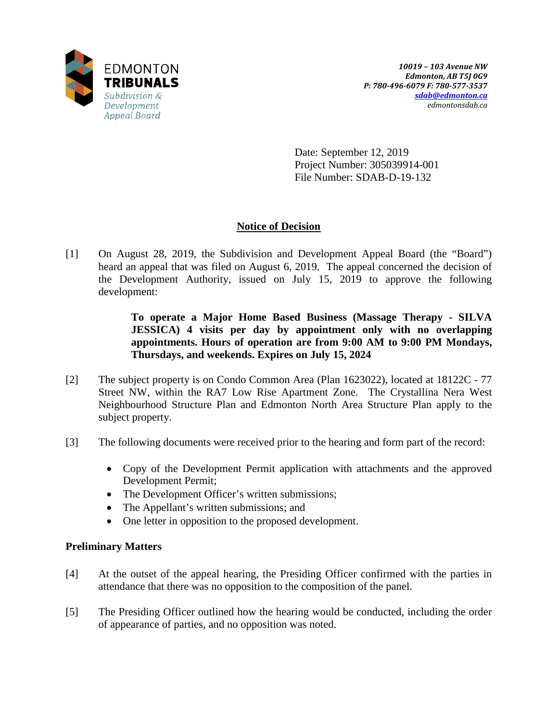

Date: September 12, 2019 Project Number: 305039914-001 File Number: SDAB-D-19-132

# **Notice of Decision**

[1] On August 28, 2019, the Subdivision and Development Appeal Board (the "Board") heard an appeal that was filed on August 6, 2019. The appeal concerned the decision of the Development Authority, issued on July 15, 2019 to approve the following development:

> **To operate a Major Home Based Business (Massage Therapy - SILVA JESSICA) 4 visits per day by appointment only with no overlapping appointments. Hours of operation are from 9:00 AM to 9:00 PM Mondays, Thursdays, and weekends. Expires on July 15, 2024**

- [2] The subject property is on Condo Common Area (Plan 1623022), located at 18122C 77 Street NW, within the RA7 Low Rise Apartment Zone. The Crystallina Nera West Neighbourhood Structure Plan and Edmonton North Area Structure Plan apply to the subject property.
- [3] The following documents were received prior to the hearing and form part of the record:
	- Copy of the Development Permit application with attachments and the approved Development Permit;
	- The Development Officer's written submissions;
	- The Appellant's written submissions; and
	- One letter in opposition to the proposed development.

# **Preliminary Matters**

- [4] At the outset of the appeal hearing, the Presiding Officer confirmed with the parties in attendance that there was no opposition to the composition of the panel.
- [5] The Presiding Officer outlined how the hearing would be conducted, including the order of appearance of parties, and no opposition was noted.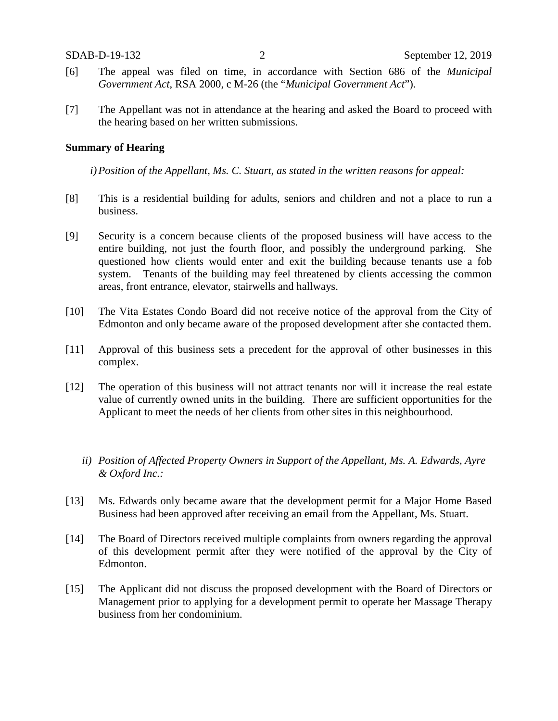- [6] The appeal was filed on time, in accordance with Section 686 of the *Municipal Government Act*, RSA 2000, c M-26 (the "*Municipal Government Act*").
- [7] The Appellant was not in attendance at the hearing and asked the Board to proceed with the hearing based on her written submissions.

### **Summary of Hearing**

*i)Position of the Appellant, Ms. C. Stuart, as stated in the written reasons for appeal:*

- [8] This is a residential building for adults, seniors and children and not a place to run a business.
- [9] Security is a concern because clients of the proposed business will have access to the entire building, not just the fourth floor, and possibly the underground parking. She questioned how clients would enter and exit the building because tenants use a fob system. Tenants of the building may feel threatened by clients accessing the common areas, front entrance, elevator, stairwells and hallways.
- [10] The Vita Estates Condo Board did not receive notice of the approval from the City of Edmonton and only became aware of the proposed development after she contacted them.
- [11] Approval of this business sets a precedent for the approval of other businesses in this complex.
- [12] The operation of this business will not attract tenants nor will it increase the real estate value of currently owned units in the building. There are sufficient opportunities for the Applicant to meet the needs of her clients from other sites in this neighbourhood.
	- *ii) Position of Affected Property Owners in Support of the Appellant, Ms. A. Edwards, Ayre & Oxford Inc.:*
- [13] Ms. Edwards only became aware that the development permit for a Major Home Based Business had been approved after receiving an email from the Appellant, Ms. Stuart.
- [14] The Board of Directors received multiple complaints from owners regarding the approval of this development permit after they were notified of the approval by the City of Edmonton.
- [15] The Applicant did not discuss the proposed development with the Board of Directors or Management prior to applying for a development permit to operate her Massage Therapy business from her condominium.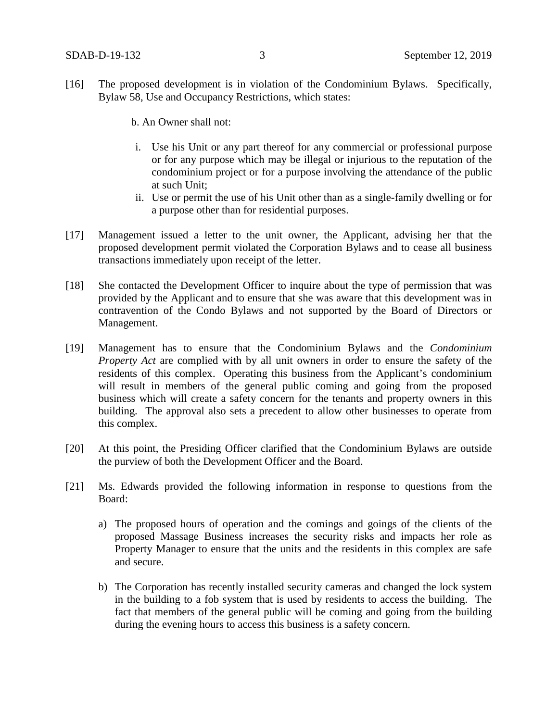- [16] The proposed development is in violation of the Condominium Bylaws. Specifically, Bylaw 58, Use and Occupancy Restrictions, which states:
	- b. An Owner shall not:
	- i. Use his Unit or any part thereof for any commercial or professional purpose or for any purpose which may be illegal or injurious to the reputation of the condominium project or for a purpose involving the attendance of the public at such Unit;
	- ii. Use or permit the use of his Unit other than as a single-family dwelling or for a purpose other than for residential purposes.
- [17] Management issued a letter to the unit owner, the Applicant, advising her that the proposed development permit violated the Corporation Bylaws and to cease all business transactions immediately upon receipt of the letter.
- [18] She contacted the Development Officer to inquire about the type of permission that was provided by the Applicant and to ensure that she was aware that this development was in contravention of the Condo Bylaws and not supported by the Board of Directors or Management.
- [19] Management has to ensure that the Condominium Bylaws and the *Condominium Property Act* are complied with by all unit owners in order to ensure the safety of the residents of this complex. Operating this business from the Applicant's condominium will result in members of the general public coming and going from the proposed business which will create a safety concern for the tenants and property owners in this building. The approval also sets a precedent to allow other businesses to operate from this complex.
- [20] At this point, the Presiding Officer clarified that the Condominium Bylaws are outside the purview of both the Development Officer and the Board.
- [21] Ms. Edwards provided the following information in response to questions from the Board:
	- a) The proposed hours of operation and the comings and goings of the clients of the proposed Massage Business increases the security risks and impacts her role as Property Manager to ensure that the units and the residents in this complex are safe and secure.
	- b) The Corporation has recently installed security cameras and changed the lock system in the building to a fob system that is used by residents to access the building. The fact that members of the general public will be coming and going from the building during the evening hours to access this business is a safety concern.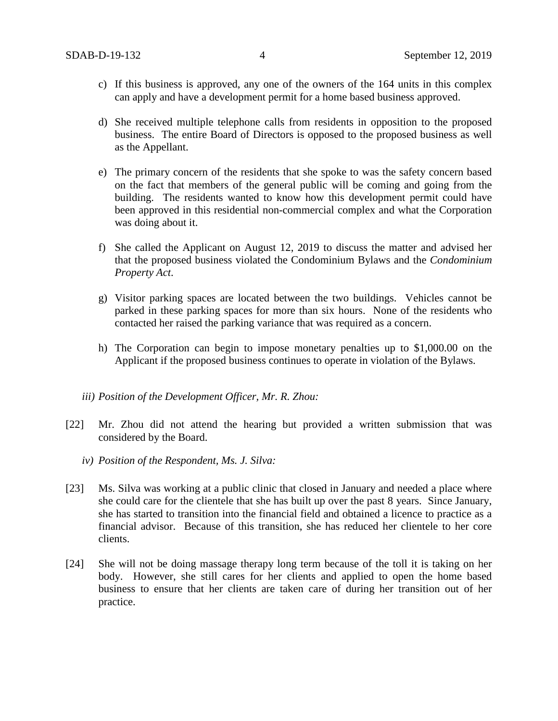- c) If this business is approved, any one of the owners of the 164 units in this complex can apply and have a development permit for a home based business approved.
- d) She received multiple telephone calls from residents in opposition to the proposed business. The entire Board of Directors is opposed to the proposed business as well as the Appellant.
- e) The primary concern of the residents that she spoke to was the safety concern based on the fact that members of the general public will be coming and going from the building. The residents wanted to know how this development permit could have been approved in this residential non-commercial complex and what the Corporation was doing about it.
- f) She called the Applicant on August 12, 2019 to discuss the matter and advised her that the proposed business violated the Condominium Bylaws and the *Condominium Property Act*.
- g) Visitor parking spaces are located between the two buildings. Vehicles cannot be parked in these parking spaces for more than six hours. None of the residents who contacted her raised the parking variance that was required as a concern.
- h) The Corporation can begin to impose monetary penalties up to \$1,000.00 on the Applicant if the proposed business continues to operate in violation of the Bylaws.
- *iii) Position of the Development Officer, Mr. R. Zhou:*
- [22] Mr. Zhou did not attend the hearing but provided a written submission that was considered by the Board.
	- *iv) Position of the Respondent, Ms. J. Silva:*
- [23] Ms. Silva was working at a public clinic that closed in January and needed a place where she could care for the clientele that she has built up over the past 8 years. Since January, she has started to transition into the financial field and obtained a licence to practice as a financial advisor. Because of this transition, she has reduced her clientele to her core clients.
- [24] She will not be doing massage therapy long term because of the toll it is taking on her body. However, she still cares for her clients and applied to open the home based business to ensure that her clients are taken care of during her transition out of her practice.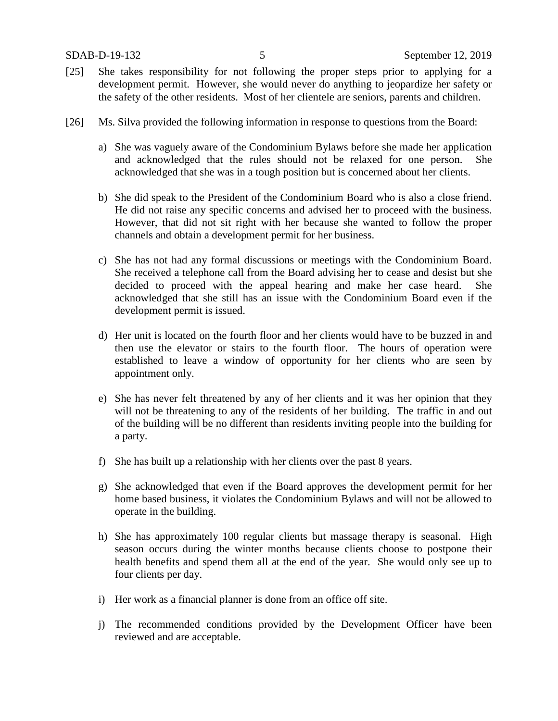- [25] She takes responsibility for not following the proper steps prior to applying for a development permit. However, she would never do anything to jeopardize her safety or the safety of the other residents. Most of her clientele are seniors, parents and children.
- [26] Ms. Silva provided the following information in response to questions from the Board:
	- a) She was vaguely aware of the Condominium Bylaws before she made her application and acknowledged that the rules should not be relaxed for one person. She acknowledged that she was in a tough position but is concerned about her clients.
	- b) She did speak to the President of the Condominium Board who is also a close friend. He did not raise any specific concerns and advised her to proceed with the business. However, that did not sit right with her because she wanted to follow the proper channels and obtain a development permit for her business.
	- c) She has not had any formal discussions or meetings with the Condominium Board. She received a telephone call from the Board advising her to cease and desist but she decided to proceed with the appeal hearing and make her case heard. She acknowledged that she still has an issue with the Condominium Board even if the development permit is issued.
	- d) Her unit is located on the fourth floor and her clients would have to be buzzed in and then use the elevator or stairs to the fourth floor. The hours of operation were established to leave a window of opportunity for her clients who are seen by appointment only.
	- e) She has never felt threatened by any of her clients and it was her opinion that they will not be threatening to any of the residents of her building. The traffic in and out of the building will be no different than residents inviting people into the building for a party.
	- f) She has built up a relationship with her clients over the past 8 years.
	- g) She acknowledged that even if the Board approves the development permit for her home based business, it violates the Condominium Bylaws and will not be allowed to operate in the building.
	- h) She has approximately 100 regular clients but massage therapy is seasonal. High season occurs during the winter months because clients choose to postpone their health benefits and spend them all at the end of the year. She would only see up to four clients per day.
	- i) Her work as a financial planner is done from an office off site.
	- j) The recommended conditions provided by the Development Officer have been reviewed and are acceptable.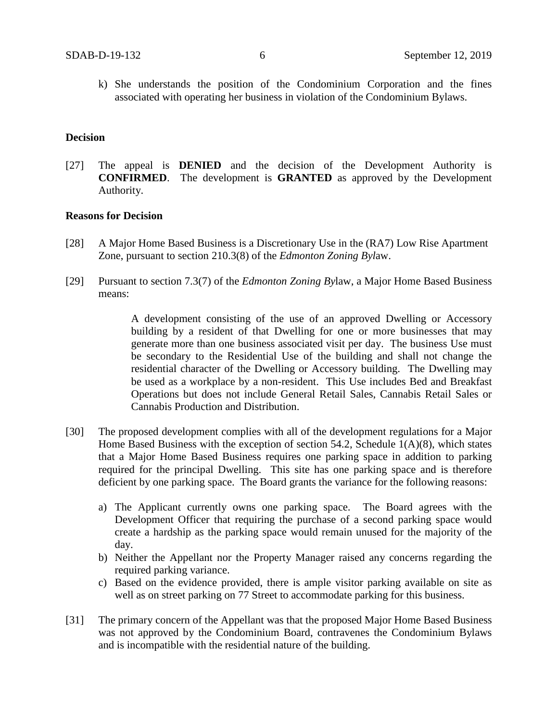k) She understands the position of the Condominium Corporation and the fines associated with operating her business in violation of the Condominium Bylaws.

#### **Decision**

[27] The appeal is **DENIED** and the decision of the Development Authority is **CONFIRMED**. The development is **GRANTED** as approved by the Development Authority.

## **Reasons for Decision**

- [28] A Major Home Based Business is a Discretionary Use in the (RA7) Low Rise Apartment Zone, pursuant to section 210.3(8) of the *Edmonton Zoning Byl*aw.
- [29] Pursuant to section 7.3(7) of the *Edmonton Zoning By*law, a Major Home Based Business means:

A development consisting of the use of an approved Dwelling or Accessory building by a resident of that Dwelling for one or more businesses that may generate more than one business associated visit per day. The business Use must be secondary to the Residential Use of the building and shall not change the residential character of the Dwelling or Accessory building. The Dwelling may be used as a workplace by a non-resident. This Use includes Bed and Breakfast Operations but does not include General Retail Sales, Cannabis Retail Sales or Cannabis Production and Distribution.

- [30] The proposed development complies with all of the development regulations for a Major Home Based Business with the exception of section 54.2, Schedule 1(A)(8), which states that a Major Home Based Business requires one parking space in addition to parking required for the principal Dwelling. This site has one parking space and is therefore deficient by one parking space. The Board grants the variance for the following reasons:
	- a) The Applicant currently owns one parking space. The Board agrees with the Development Officer that requiring the purchase of a second parking space would create a hardship as the parking space would remain unused for the majority of the day.
	- b) Neither the Appellant nor the Property Manager raised any concerns regarding the required parking variance.
	- c) Based on the evidence provided, there is ample visitor parking available on site as well as on street parking on 77 Street to accommodate parking for this business.
- [31] The primary concern of the Appellant was that the proposed Major Home Based Business was not approved by the Condominium Board, contravenes the Condominium Bylaws and is incompatible with the residential nature of the building.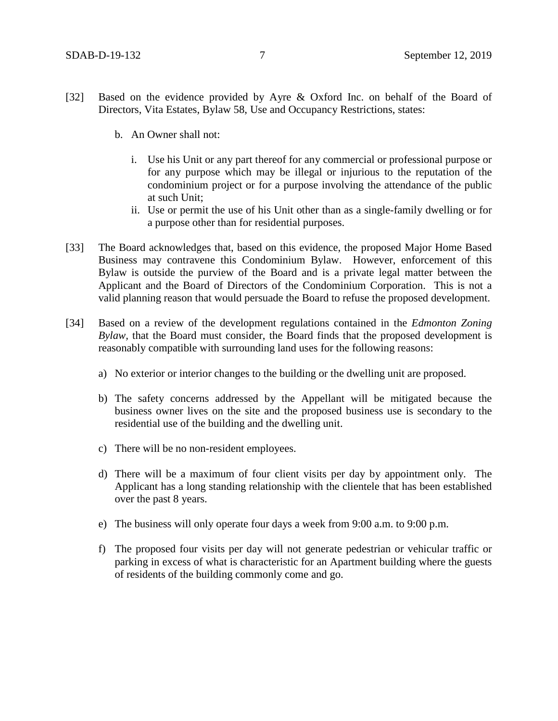- [32] Based on the evidence provided by Ayre & Oxford Inc. on behalf of the Board of Directors, Vita Estates, Bylaw 58, Use and Occupancy Restrictions, states:
	- b. An Owner shall not:
		- i. Use his Unit or any part thereof for any commercial or professional purpose or for any purpose which may be illegal or injurious to the reputation of the condominium project or for a purpose involving the attendance of the public at such Unit;
		- ii. Use or permit the use of his Unit other than as a single-family dwelling or for a purpose other than for residential purposes.
- [33] The Board acknowledges that, based on this evidence, the proposed Major Home Based Business may contravene this Condominium Bylaw. However, enforcement of this Bylaw is outside the purview of the Board and is a private legal matter between the Applicant and the Board of Directors of the Condominium Corporation. This is not a valid planning reason that would persuade the Board to refuse the proposed development.
- [34] Based on a review of the development regulations contained in the *Edmonton Zoning Bylaw,* that the Board must consider, the Board finds that the proposed development is reasonably compatible with surrounding land uses for the following reasons:
	- a) No exterior or interior changes to the building or the dwelling unit are proposed.
	- b) The safety concerns addressed by the Appellant will be mitigated because the business owner lives on the site and the proposed business use is secondary to the residential use of the building and the dwelling unit.
	- c) There will be no non-resident employees.
	- d) There will be a maximum of four client visits per day by appointment only. The Applicant has a long standing relationship with the clientele that has been established over the past 8 years.
	- e) The business will only operate four days a week from 9:00 a.m. to 9:00 p.m.
	- f) The proposed four visits per day will not generate pedestrian or vehicular traffic or parking in excess of what is characteristic for an Apartment building where the guests of residents of the building commonly come and go.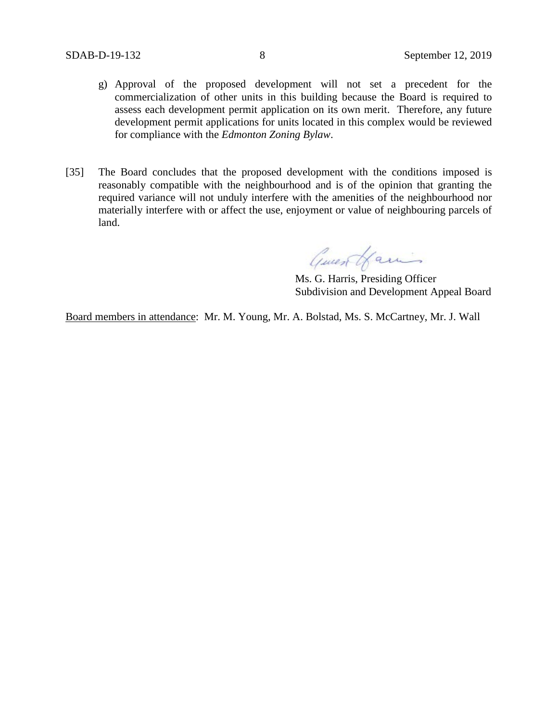- g) Approval of the proposed development will not set a precedent for the commercialization of other units in this building because the Board is required to assess each development permit application on its own merit. Therefore, any future development permit applications for units located in this complex would be reviewed for compliance with the *Edmonton Zoning Bylaw*.
- [35] The Board concludes that the proposed development with the conditions imposed is reasonably compatible with the neighbourhood and is of the opinion that granting the required variance will not unduly interfere with the amenities of the neighbourhood nor materially interfere with or affect the use, enjoyment or value of neighbouring parcels of land.

Guest Hamis

Ms. G. Harris, Presiding Officer Subdivision and Development Appeal Board

Board members in attendance: Mr. M. Young, Mr. A. Bolstad, Ms. S. McCartney, Mr. J. Wall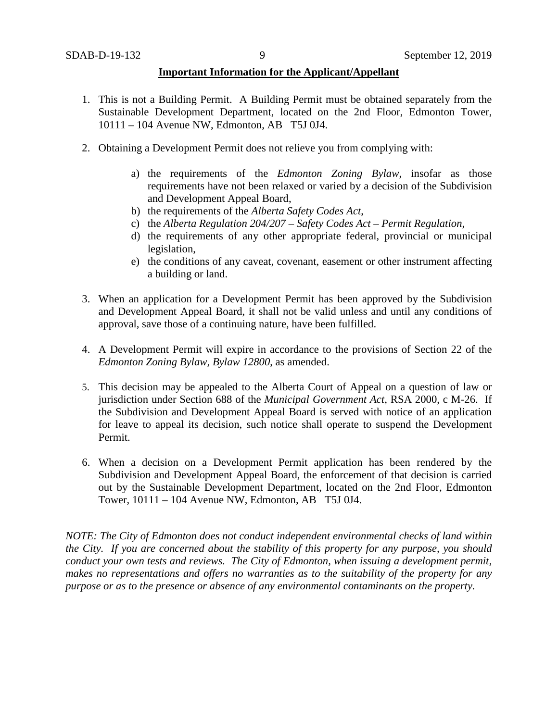### **Important Information for the Applicant/Appellant**

- 1. This is not a Building Permit. A Building Permit must be obtained separately from the Sustainable Development Department, located on the 2nd Floor, Edmonton Tower, 10111 – 104 Avenue NW, Edmonton, AB T5J 0J4.
- 2. Obtaining a Development Permit does not relieve you from complying with:
	- a) the requirements of the *Edmonton Zoning Bylaw*, insofar as those requirements have not been relaxed or varied by a decision of the Subdivision and Development Appeal Board,
	- b) the requirements of the *Alberta Safety Codes Act*,
	- c) the *Alberta Regulation 204/207 – Safety Codes Act – Permit Regulation*,
	- d) the requirements of any other appropriate federal, provincial or municipal legislation,
	- e) the conditions of any caveat, covenant, easement or other instrument affecting a building or land.
- 3. When an application for a Development Permit has been approved by the Subdivision and Development Appeal Board, it shall not be valid unless and until any conditions of approval, save those of a continuing nature, have been fulfilled.
- 4. A Development Permit will expire in accordance to the provisions of Section 22 of the *Edmonton Zoning Bylaw, Bylaw 12800*, as amended.
- 5. This decision may be appealed to the Alberta Court of Appeal on a question of law or jurisdiction under Section 688 of the *Municipal Government Act*, RSA 2000, c M-26. If the Subdivision and Development Appeal Board is served with notice of an application for leave to appeal its decision, such notice shall operate to suspend the Development Permit.
- 6. When a decision on a Development Permit application has been rendered by the Subdivision and Development Appeal Board, the enforcement of that decision is carried out by the Sustainable Development Department, located on the 2nd Floor, Edmonton Tower, 10111 – 104 Avenue NW, Edmonton, AB T5J 0J4.

*NOTE: The City of Edmonton does not conduct independent environmental checks of land within the City. If you are concerned about the stability of this property for any purpose, you should conduct your own tests and reviews. The City of Edmonton, when issuing a development permit, makes no representations and offers no warranties as to the suitability of the property for any purpose or as to the presence or absence of any environmental contaminants on the property.*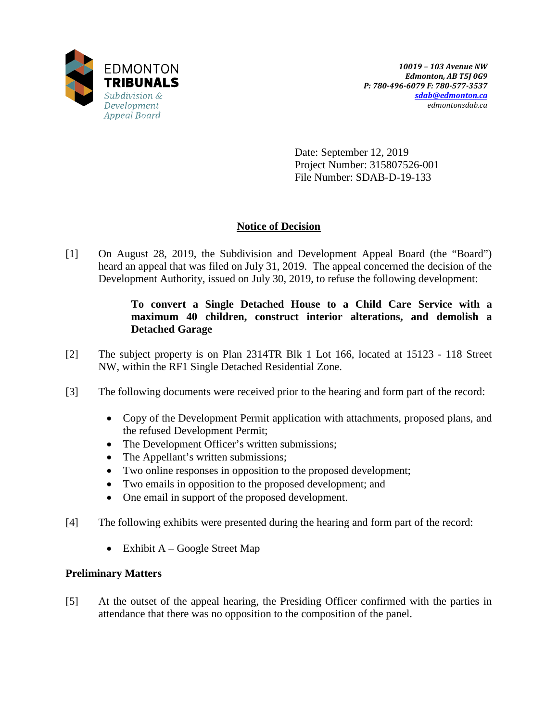

Date: September 12, 2019 Project Number: 315807526-001 File Number: SDAB-D-19-133

# **Notice of Decision**

[1] On August 28, 2019, the Subdivision and Development Appeal Board (the "Board") heard an appeal that was filed on July 31, 2019. The appeal concerned the decision of the Development Authority, issued on July 30, 2019, to refuse the following development:

# **To convert a Single Detached House to a Child Care Service with a maximum 40 children, construct interior alterations, and demolish a Detached Garage**

- [2] The subject property is on Plan 2314TR Blk 1 Lot 166, located at 15123 118 Street NW, within the RF1 Single Detached Residential Zone.
- [3] The following documents were received prior to the hearing and form part of the record:
	- Copy of the Development Permit application with attachments, proposed plans, and the refused Development Permit;
	- The Development Officer's written submissions;
	- The Appellant's written submissions;
	- Two online responses in opposition to the proposed development;
	- Two emails in opposition to the proposed development; and
	- One email in support of the proposed development.
- [4] The following exhibits were presented during the hearing and form part of the record:
	- Exhibit  $A Google Street Map$

## **Preliminary Matters**

[5] At the outset of the appeal hearing, the Presiding Officer confirmed with the parties in attendance that there was no opposition to the composition of the panel.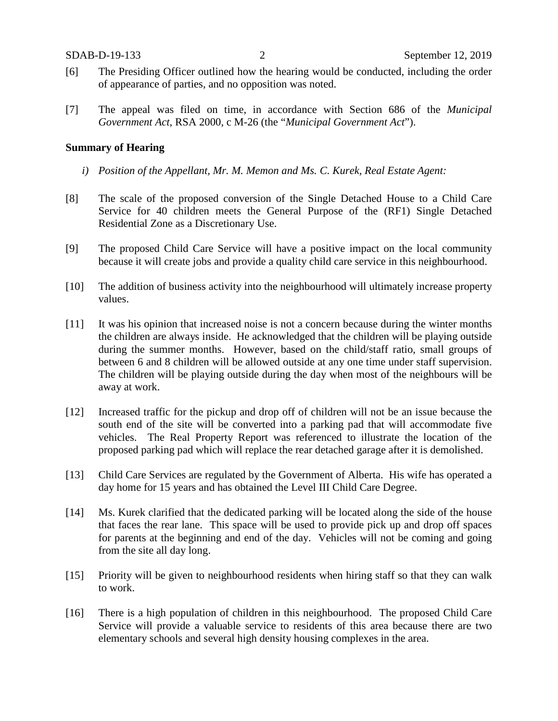- [6] The Presiding Officer outlined how the hearing would be conducted, including the order of appearance of parties, and no opposition was noted.
- [7] The appeal was filed on time, in accordance with Section 686 of the *Municipal Government Act*, RSA 2000, c M-26 (the "*Municipal Government Act*").

### **Summary of Hearing**

- *i) Position of the Appellant, Mr. M. Memon and Ms. C. Kurek, Real Estate Agent:*
- [8] The scale of the proposed conversion of the Single Detached House to a Child Care Service for 40 children meets the General Purpose of the (RF1) Single Detached Residential Zone as a Discretionary Use.
- [9] The proposed Child Care Service will have a positive impact on the local community because it will create jobs and provide a quality child care service in this neighbourhood.
- [10] The addition of business activity into the neighbourhood will ultimately increase property values.
- [11] It was his opinion that increased noise is not a concern because during the winter months the children are always inside. He acknowledged that the children will be playing outside during the summer months. However, based on the child/staff ratio, small groups of between 6 and 8 children will be allowed outside at any one time under staff supervision. The children will be playing outside during the day when most of the neighbours will be away at work.
- [12] Increased traffic for the pickup and drop off of children will not be an issue because the south end of the site will be converted into a parking pad that will accommodate five vehicles. The Real Property Report was referenced to illustrate the location of the proposed parking pad which will replace the rear detached garage after it is demolished.
- [13] Child Care Services are regulated by the Government of Alberta. His wife has operated a day home for 15 years and has obtained the Level III Child Care Degree.
- [14] Ms. Kurek clarified that the dedicated parking will be located along the side of the house that faces the rear lane. This space will be used to provide pick up and drop off spaces for parents at the beginning and end of the day. Vehicles will not be coming and going from the site all day long.
- [15] Priority will be given to neighbourhood residents when hiring staff so that they can walk to work.
- [16] There is a high population of children in this neighbourhood. The proposed Child Care Service will provide a valuable service to residents of this area because there are two elementary schools and several high density housing complexes in the area.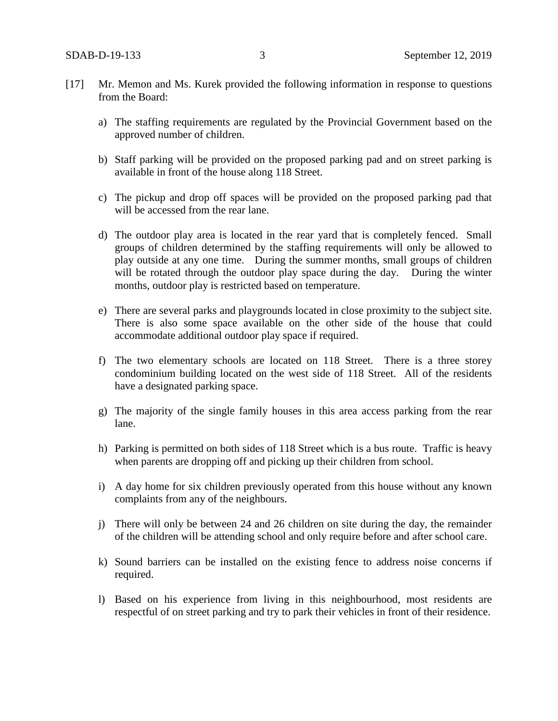- [17] Mr. Memon and Ms. Kurek provided the following information in response to questions from the Board:
	- a) The staffing requirements are regulated by the Provincial Government based on the approved number of children.
	- b) Staff parking will be provided on the proposed parking pad and on street parking is available in front of the house along 118 Street.
	- c) The pickup and drop off spaces will be provided on the proposed parking pad that will be accessed from the rear lane.
	- d) The outdoor play area is located in the rear yard that is completely fenced. Small groups of children determined by the staffing requirements will only be allowed to play outside at any one time. During the summer months, small groups of children will be rotated through the outdoor play space during the day. During the winter months, outdoor play is restricted based on temperature.
	- e) There are several parks and playgrounds located in close proximity to the subject site. There is also some space available on the other side of the house that could accommodate additional outdoor play space if required.
	- f) The two elementary schools are located on 118 Street. There is a three storey condominium building located on the west side of 118 Street. All of the residents have a designated parking space.
	- g) The majority of the single family houses in this area access parking from the rear lane.
	- h) Parking is permitted on both sides of 118 Street which is a bus route. Traffic is heavy when parents are dropping off and picking up their children from school.
	- i) A day home for six children previously operated from this house without any known complaints from any of the neighbours.
	- j) There will only be between 24 and 26 children on site during the day, the remainder of the children will be attending school and only require before and after school care.
	- k) Sound barriers can be installed on the existing fence to address noise concerns if required.
	- l) Based on his experience from living in this neighbourhood, most residents are respectful of on street parking and try to park their vehicles in front of their residence.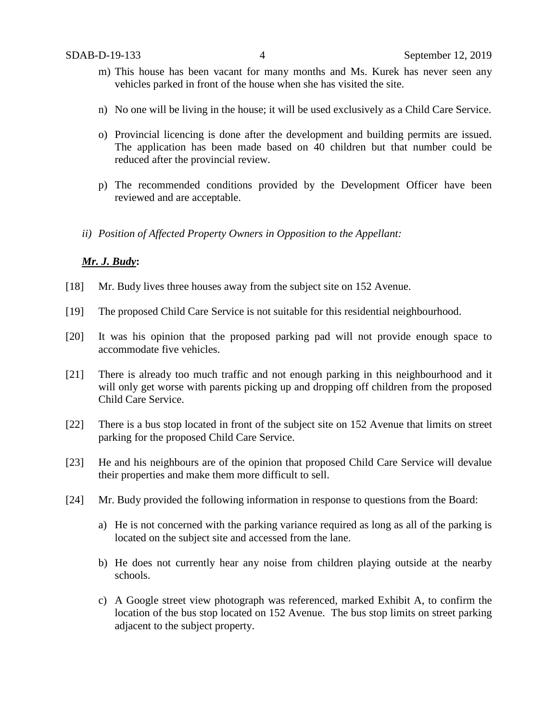- m) This house has been vacant for many months and Ms. Kurek has never seen any vehicles parked in front of the house when she has visited the site.
- n) No one will be living in the house; it will be used exclusively as a Child Care Service.
- o) Provincial licencing is done after the development and building permits are issued. The application has been made based on 40 children but that number could be reduced after the provincial review.
- p) The recommended conditions provided by the Development Officer have been reviewed and are acceptable.
- *ii) Position of Affected Property Owners in Opposition to the Appellant:*

### *Mr. J. Budy***:**

- [18] Mr. Budy lives three houses away from the subject site on 152 Avenue.
- [19] The proposed Child Care Service is not suitable for this residential neighbourhood.
- [20] It was his opinion that the proposed parking pad will not provide enough space to accommodate five vehicles.
- [21] There is already too much traffic and not enough parking in this neighbourhood and it will only get worse with parents picking up and dropping off children from the proposed Child Care Service.
- [22] There is a bus stop located in front of the subject site on 152 Avenue that limits on street parking for the proposed Child Care Service.
- [23] He and his neighbours are of the opinion that proposed Child Care Service will devalue their properties and make them more difficult to sell.
- [24] Mr. Budy provided the following information in response to questions from the Board:
	- a) He is not concerned with the parking variance required as long as all of the parking is located on the subject site and accessed from the lane.
	- b) He does not currently hear any noise from children playing outside at the nearby schools.
	- c) A Google street view photograph was referenced, marked Exhibit A, to confirm the location of the bus stop located on 152 Avenue. The bus stop limits on street parking adjacent to the subject property.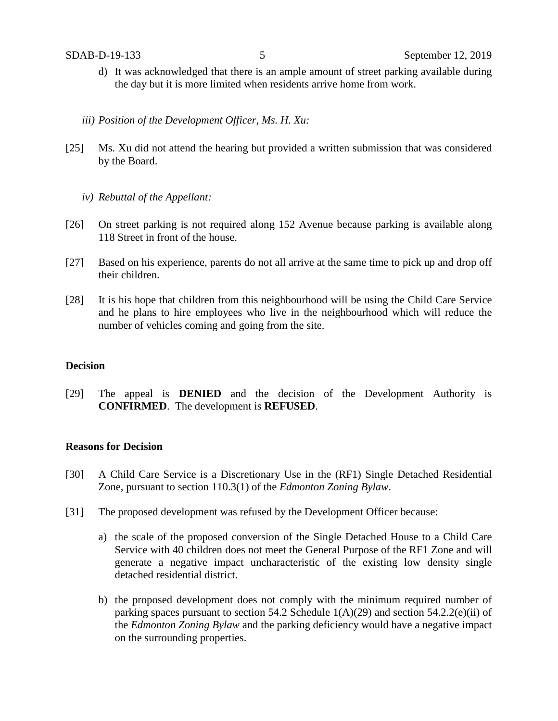- d) It was acknowledged that there is an ample amount of street parking available during the day but it is more limited when residents arrive home from work.
- *iii) Position of the Development Officer, Ms. H. Xu:*
- [25] Ms. Xu did not attend the hearing but provided a written submission that was considered by the Board.
	- *iv) Rebuttal of the Appellant:*
- [26] On street parking is not required along 152 Avenue because parking is available along 118 Street in front of the house.
- [27] Based on his experience, parents do not all arrive at the same time to pick up and drop off their children.
- [28] It is his hope that children from this neighbourhood will be using the Child Care Service and he plans to hire employees who live in the neighbourhood which will reduce the number of vehicles coming and going from the site.

## **Decision**

[29] The appeal is **DENIED** and the decision of the Development Authority is **CONFIRMED**. The development is **REFUSED**.

### **Reasons for Decision**

- [30] A Child Care Service is a Discretionary Use in the (RF1) Single Detached Residential Zone, pursuant to section 110.3(1) of the *Edmonton Zoning Bylaw*.
- [31] The proposed development was refused by the Development Officer because:
	- a) the scale of the proposed conversion of the Single Detached House to a Child Care Service with 40 children does not meet the General Purpose of the RF1 Zone and will generate a negative impact uncharacteristic of the existing low density single detached residential district.
	- b) the proposed development does not comply with the minimum required number of parking spaces pursuant to section 54.2 Schedule  $1(A)(29)$  and section 54.2.2(e)(ii) of the *Edmonton Zoning Bylaw* and the parking deficiency would have a negative impact on the surrounding properties.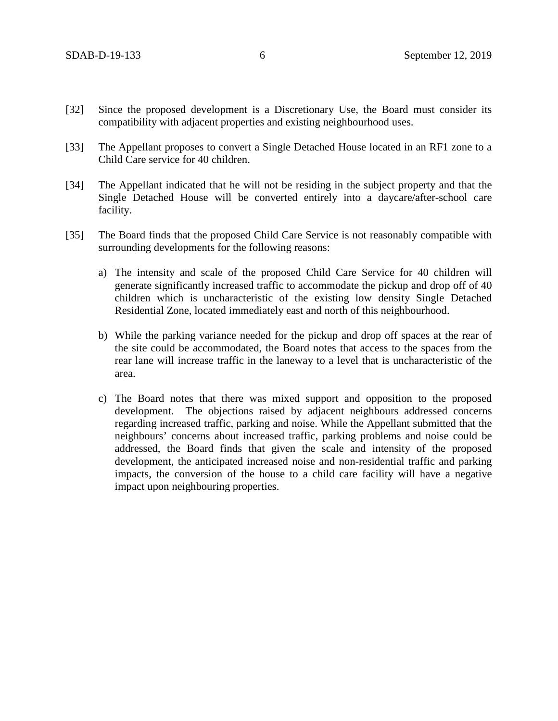- [32] Since the proposed development is a Discretionary Use, the Board must consider its compatibility with adjacent properties and existing neighbourhood uses.
- [33] The Appellant proposes to convert a Single Detached House located in an RF1 zone to a Child Care service for 40 children.
- [34] The Appellant indicated that he will not be residing in the subject property and that the Single Detached House will be converted entirely into a daycare/after-school care facility.
- [35] The Board finds that the proposed Child Care Service is not reasonably compatible with surrounding developments for the following reasons:
	- a) The intensity and scale of the proposed Child Care Service for 40 children will generate significantly increased traffic to accommodate the pickup and drop off of 40 children which is uncharacteristic of the existing low density Single Detached Residential Zone, located immediately east and north of this neighbourhood.
	- b) While the parking variance needed for the pickup and drop off spaces at the rear of the site could be accommodated, the Board notes that access to the spaces from the rear lane will increase traffic in the laneway to a level that is uncharacteristic of the area.
	- c) The Board notes that there was mixed support and opposition to the proposed development. The objections raised by adjacent neighbours addressed concerns regarding increased traffic, parking and noise. While the Appellant submitted that the neighbours' concerns about increased traffic, parking problems and noise could be addressed, the Board finds that given the scale and intensity of the proposed development, the anticipated increased noise and non-residential traffic and parking impacts, the conversion of the house to a child care facility will have a negative impact upon neighbouring properties.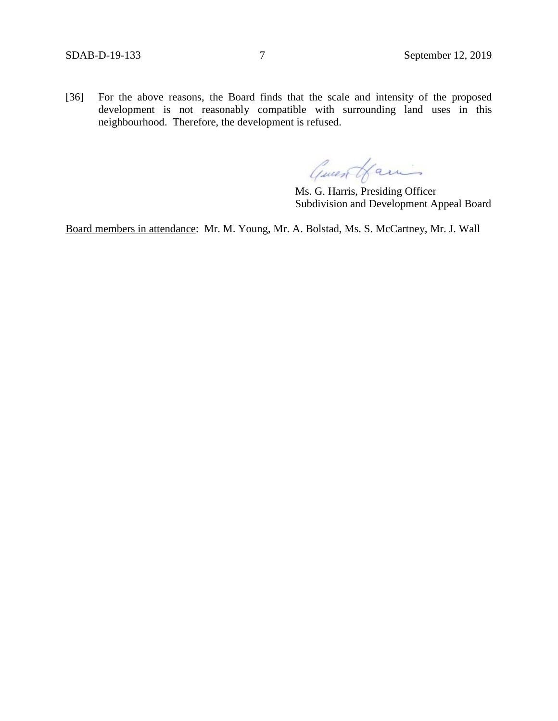[36] For the above reasons, the Board finds that the scale and intensity of the proposed development is not reasonably compatible with surrounding land uses in this neighbourhood. Therefore, the development is refused.

Guest Hamis

Ms. G. Harris, Presiding Officer Subdivision and Development Appeal Board

Board members in attendance: Mr. M. Young, Mr. A. Bolstad, Ms. S. McCartney, Mr. J. Wall